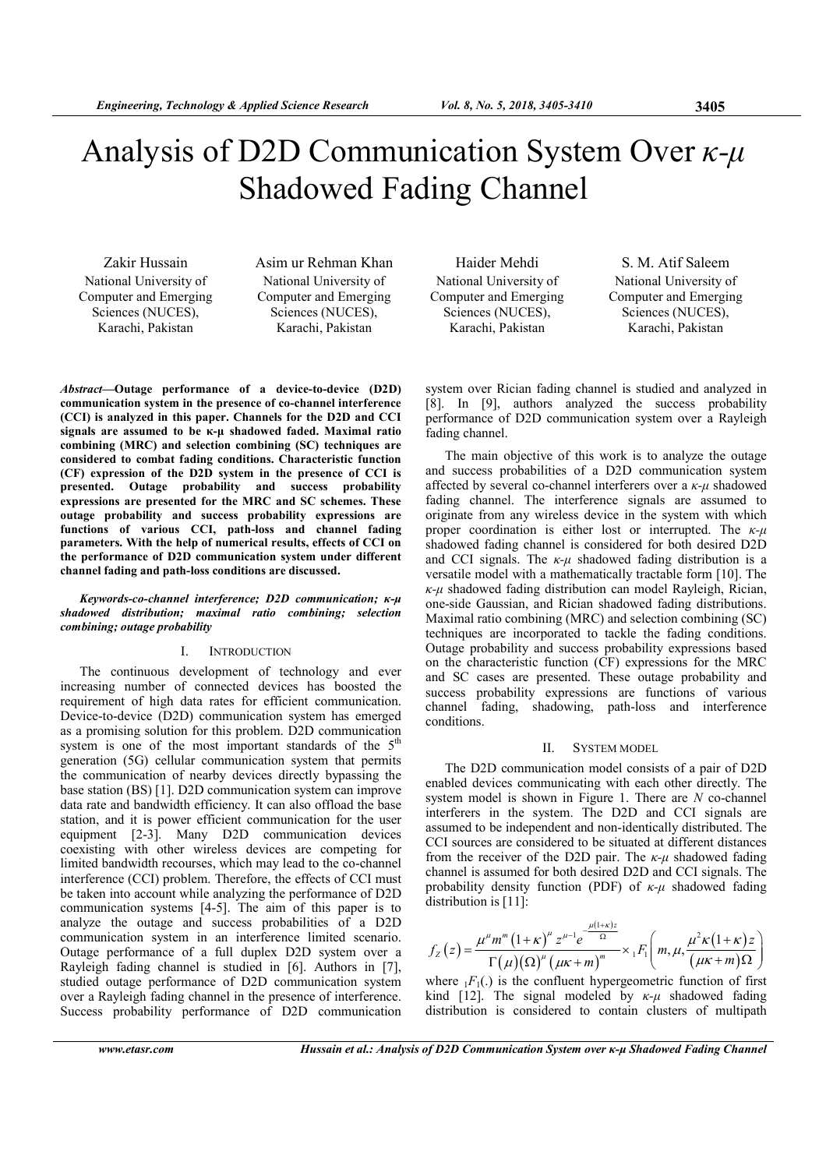# Analysis of D2D Communication System Over  $\kappa$ - $\mu$ Shadowed Fading Channel

Zakir Hussain National University of Computer and Emerging Sciences (NUCES), Karachi, Pakistan

Asim ur Rehman Khan National University of Computer and Emerging Sciences (NUCES), Karachi, Pakistan

Abstract—Outage performance of a device-to-device (D2D) communication system in the presence of co-channel interference (CCI) is analyzed in this paper. Channels for the D2D and CCI signals are assumed to be κ-µ shadowed faded. Maximal ratio combining (MRC) and selection combining (SC) techniques are considered to combat fading conditions. Characteristic function (CF) expression of the D2D system in the presence of CCI is presented. Outage probability and success probability expressions are presented for the MRC and SC schemes. These outage probability and success probability expressions are functions of various CCI, path-loss and channel fading parameters. With the help of numerical results, effects of CCI on the performance of D2D communication system under different channel fading and path-loss conditions are discussed.

Keywords-co-channel interference; D2D communication; κ-µ shadowed distribution; maximal ratio combining; selection combining; outage probability

# I. INTRODUCTION

The continuous development of technology and ever increasing number of connected devices has boosted the requirement of high data rates for efficient communication. Device-to-device (D2D) communication system has emerged as a promising solution for this problem. D2D communication system is one of the most important standards of the  $5<sup>th</sup>$ generation (5G) cellular communication system that permits the communication of nearby devices directly bypassing the base station (BS) [1]. D2D communication system can improve data rate and bandwidth efficiency. It can also offload the base station, and it is power efficient communication for the user equipment [2-3]. Many D2D communication devices coexisting with other wireless devices are competing for limited bandwidth recourses, which may lead to the co-channel interference (CCI) problem. Therefore, the effects of CCI must be taken into account while analyzing the performance of D2D communication systems [4-5]. The aim of this paper is to analyze the outage and success probabilities of a D2D communication system in an interference limited scenario. Outage performance of a full duplex D2D system over a Rayleigh fading channel is studied in [6]. Authors in [7], studied outage performance of D2D communication system over a Rayleigh fading channel in the presence of interference. Success probability performance of D2D communication

Haider Mehdi National University of Computer and Emerging Sciences (NUCES), Karachi, Pakistan

S. M. Atif Saleem National University of Computer and Emerging Sciences (NUCES), Karachi, Pakistan

system over Rician fading channel is studied and analyzed in [8]. In [9], authors analyzed the success probability performance of D2D communication system over a Rayleigh fading channel.

The main objective of this work is to analyze the outage and success probabilities of a D2D communication system affected by several co-channel interferers over a  $\kappa$ - $\mu$  shadowed fading channel. The interference signals are assumed to originate from any wireless device in the system with which proper coordination is either lost or interrupted. The  $\kappa$ - $\mu$ shadowed fading channel is considered for both desired D2D and CCI signals. The  $\kappa-\mu$  shadowed fading distribution is a versatile model with a mathematically tractable form [10]. The  $\kappa$ -*μ* shadowed fading distribution can model Rayleigh, Rician, one-side Gaussian, and Rician shadowed fading distributions. Maximal ratio combining (MRC) and selection combining (SC) techniques are incorporated to tackle the fading conditions. Outage probability and success probability expressions based on the characteristic function (CF) expressions for the MRC and SC cases are presented. These outage probability and success probability expressions are functions of various channel fading, shadowing, path-loss and interference conditions.

### II. SYSTEM MODEL

The D2D communication model consists of a pair of D2D enabled devices communicating with each other directly. The system model is shown in Figure 1. There are N co-channel interferers in the system. The D2D and CCI signals are assumed to be independent and non-identically distributed. The CCI sources are considered to be situated at different distances from the receiver of the D2D pair. The  $\kappa-\mu$  shadowed fading channel is assumed for both desired D2D and CCI signals. The probability density function (PDF) of  $\kappa$ - $\mu$  shadowed fading distribution is [11]:

$$
f_Z(z) = \frac{\mu^{\mu} m^m \left(1 + \kappa\right)^{\mu} z^{\mu - 1} e^{-\frac{\mu (1 + \kappa) z}{\Omega}}}{\Gamma(\mu)(\Omega)^{\mu} \left(\mu \kappa + m\right)^m} \times {}_1F_1\left(m, \mu, \frac{\mu^2 \kappa (1 + \kappa) z}{(\mu \kappa + m) \Omega}\right)
$$

where  $_1F_1(.)$  is the confluent hypergeometric function of first kind [12]. The signal modeled by  $\kappa-\mu$  shadowed fading distribution is considered to contain clusters of multipath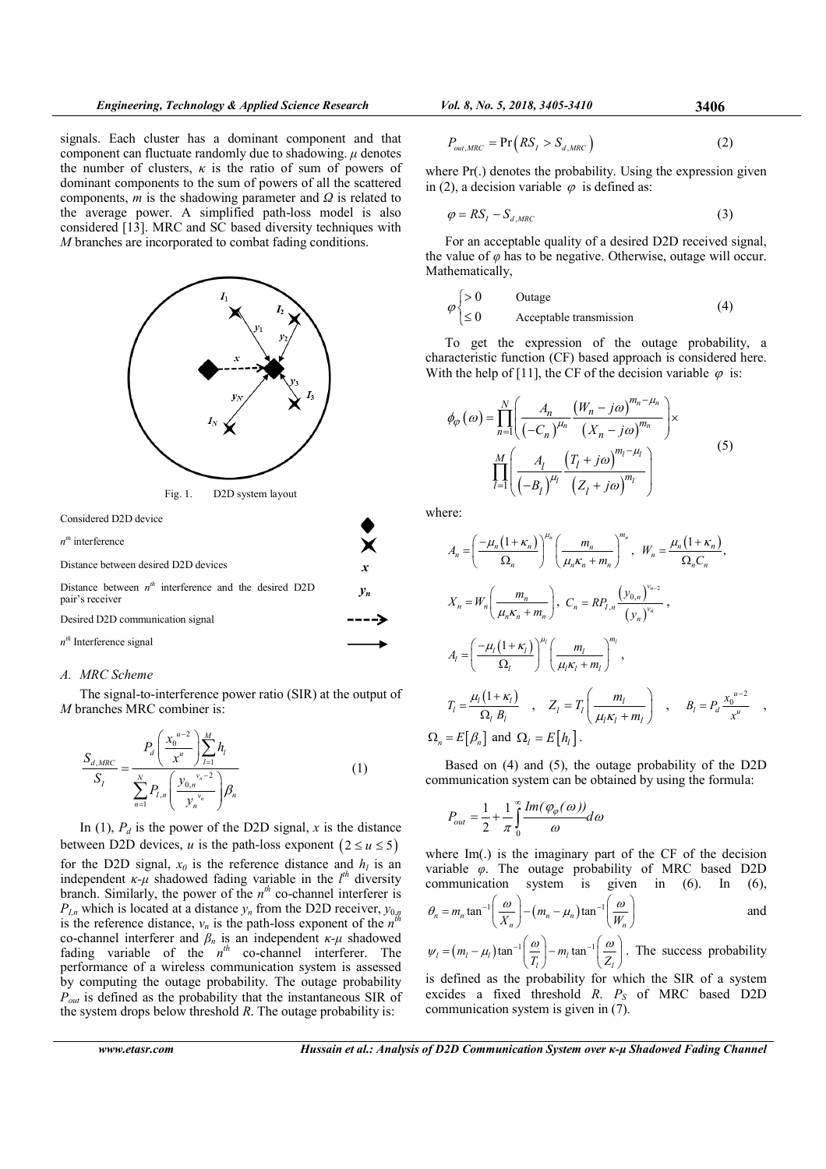signals. Each cluster has a dominant component and that component can fluctuate randomly due to shadowing.  $\mu$  denotes the number of clusters,  $\kappa$  is the ratio of sum of powers of dominant components to the sum of powers of all the scattered components,  $m$  is the shadowing parameter and  $\Omega$  is related to the average power. A simplified path-loss model is also considered [13]. MRC and SC based diversity techniques with M branches are incorporated to combat fading conditions.



## A. MRC Scheme

The signal-to-interference power ratio (SIR) at the output of M branches MRC combiner is:

$$
\frac{S_{d,MRC}}{S_I} = \frac{P_d \left(\frac{x_0^{u-2}}{x^u}\right) \sum_{l=1}^M h_l}{\sum_{n=1}^N P_{I,n} \left(\frac{y_{0,n}^{v_n-2}}{y_n^{v_n}}\right) \beta_n}
$$
(1)

In (1),  $P_d$  is the power of the D2D signal, x is the distance between D2D devices, u is the path-loss exponent  $(2 \le u \le 5)$ for the D2D signal,  $x_0$  is the reference distance and  $h_l$  is an independent  $\kappa$ - $\mu$  shadowed fading variable in the  $l^{th}$  diversity branch. Similarly, the power of the  $n^{th}$  co-channel interferer is  $P_{l,n}$  which is located at a distance  $y_n$  from the D2D receiver,  $y_{0,n}$ <br>is the reference distance, y is the nath loss expense of the  $y_n^{th}$ is the reference distance,  $v_n$  is the path-loss exponent of the  $n<sup>i</sup>$ co-channel interferer and  $\beta_n$  is an independent  $\kappa-\mu$  shadowed fading variable of the  $n^{th}$  co-channel interferer. The performance of a wireless communication system is assessed by computing the outage probability. The outage probability  $P_{out}$  is defined as the probability that the instantaneous SIR of the system drops below threshold  $R$ . The outage probability is:

$$
P_{out,MRC} = \Pr(RS_I > S_{d,MRC})
$$
\n(2)

where Pr(.) denotes the probability. Using the expression given in (2), a decision variable  $\varphi$  is defined as:

$$
\varphi = RS_I - S_{d, MRC} \tag{3}
$$

For an acceptable quality of a desired D2D received signal, the value of  $\varphi$  has to be negative. Otherwise, outage will occur. Mathematically,

$$
\varphi\begin{cases}\n>0 & \text{Outage} \\
\leq 0 & \text{Acceptable transmission}\n\end{cases}
$$
\n(4)

To get the expression of the outage probability, a characteristic function (CF) based approach is considered here. With the help of [11], the CF of the decision variable  $\varphi$  is:

$$
\phi_{\varphi}(\omega) = \prod_{n=1}^{N} \left( \frac{A_n}{(-C_n)^{\mu_n}} \frac{(W_n - j\omega)^{m_n - \mu_n}}{(X_n - j\omega)^{m_n}} \right) \times \prod_{l=1}^{M} \left( \frac{A_l}{(-B_l)^{\mu_l}} \frac{(T_l + j\omega)^{m_l - \mu_l}}{(Z_l + j\omega)^{m_l}} \right)
$$
\n(5)

where:

$$
A_n = \left(\frac{-\mu_n(1+\kappa_n)}{\Omega_n}\right)^{\mu_n} \left(\frac{m_n}{\mu_n \kappa_n + m_n}\right)^{m_n}, \quad W_n = \frac{\mu_n(1+\kappa_n)}{\Omega_n C_n},
$$
  

$$
X_n = W_n \left(\frac{m_n}{\mu_n \kappa_n + m_n}\right), \quad C_n = RP_{I,n} \frac{\left(y_{0,n}\right)^{v_{n-2}}}{\left(y_n\right)^{v_n}},
$$
  

$$
A_l = \left(\frac{-\mu_l(1+\kappa_l)}{\Omega_l}\right)^{\mu_l} \left(\frac{m_l}{\mu_l \kappa_l + m_l}\right)^{m_l},
$$
  

$$
T_l = \frac{\mu_l(1+\kappa_l)}{\Omega_l B_l}, \quad Z_l = T_l \left(\frac{m_l}{\mu_l \kappa_l + m_l}\right), \quad B_l = P_d \frac{x_0^{u-2}}{x^u},
$$
  

$$
\Omega_n = E\left[\beta_n\right] \text{ and } \Omega_l = E\left[h_l\right].
$$

Based on (4) and (5), the outage probability of the D2D communication system can be obtained by using the formula:

$$
P_{out} = \frac{1}{2} + \frac{1}{\pi} \int_{0}^{\infty} \frac{Im(\varphi_{\varphi}(\omega))}{\omega} d\omega
$$

where Im(.) is the imaginary part of the CF of the decision variable  $\varphi$ . The outage probability of MRC based D2D communication system is given in (6). In (6),

$$
\theta_n = m_n \tan^{-1} \left( \frac{\omega}{X_n} \right) - \left( m_n - \mu_n \right) \tan^{-1} \left( \frac{\omega}{W_n} \right)
$$
 and

$$
\psi_i = (m_i - \mu_i) \tan^{-1} \left( \frac{\omega}{T_i} \right) - m_i \tan^{-1} \left( \frac{\omega}{Z_i} \right)
$$
. The success probability

is defined as the probability for which the SIR of a system excides a fixed threshold  $R$ .  $P<sub>S</sub>$  of MRC based D2D communication system is given in (7).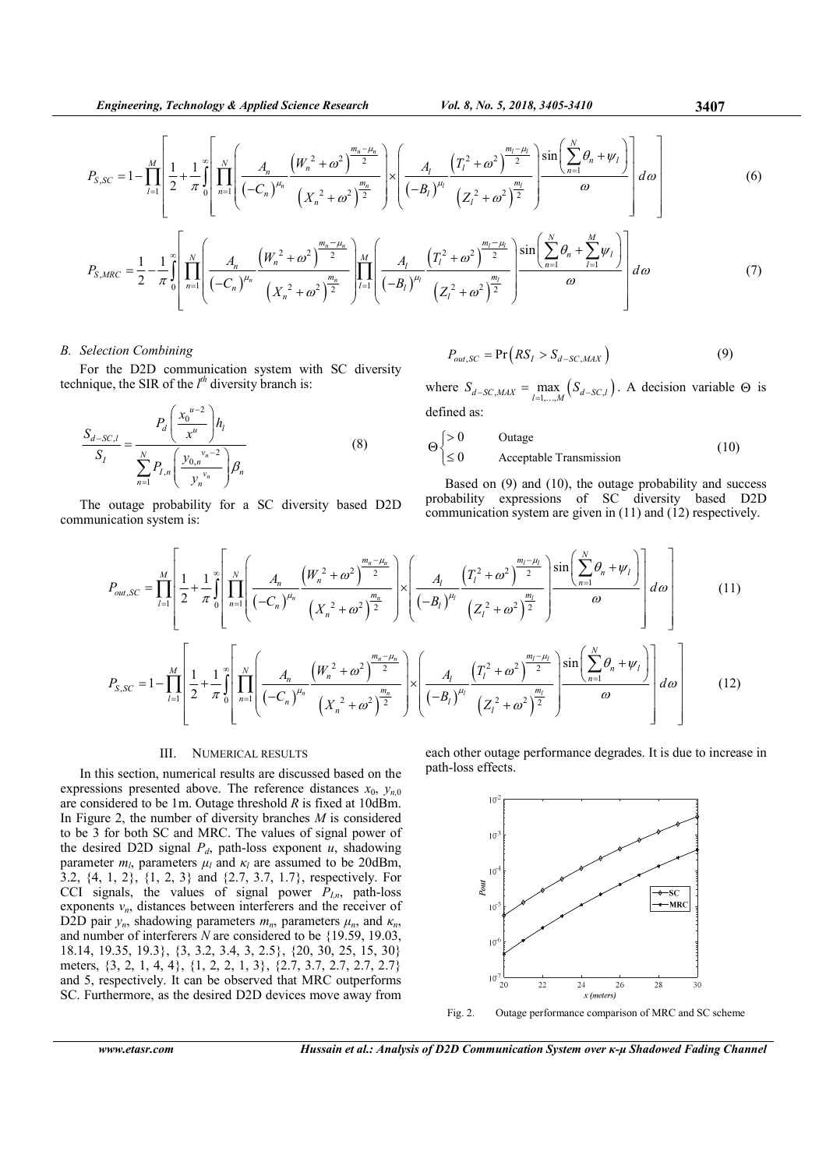$$
P_{S,SC} = 1 - \prod_{l=1}^{M} \left[ \frac{1}{2} + \frac{1}{\pi} \int_{0}^{\infty} \left[ \prod_{n=1}^{N} \left( \frac{A_n}{(-C_n)^{\mu_n}} \frac{\left(W_n^2 + \omega^2\right)^{\frac{m_n - \mu_n}{2}}}{\left(X_n^2 + \omega^2\right)^{\frac{m_n}{2}}} \right) \times \left( \frac{A_l}{(-B_l)^{\mu_l}} \frac{\left(T_l^2 + \omega^2\right)^{\frac{m_l - \mu_l}{2}}}{\left(Z_l^2 + \omega^2\right)^{\frac{m_l}{2}}} \right) \frac{\sin\left(\sum_{n=1}^{N} \theta_n + \psi_l\right)}{\omega} \right] d\omega \right]
$$
(6)

$$
P_{S,MRC} = \frac{1}{2} - \frac{1}{\pi} \int_{0}^{\infty} \left[ \prod_{n=1}^{N} \left( \frac{A_n}{(-C_n)^{\mu_n}} \frac{\left(W_n^2 + \omega^2\right)^{\frac{m_n - \mu_n}{2}}}{\left(X_n^2 + \omega^2\right)^{\frac{m_n}{2}}} \right) \prod_{l=1}^{M} \left( \frac{A_l}{(-B_l)^{\mu_l}} \frac{\left(T_l^2 + \omega^2\right)^{\frac{m_l - \mu_l}{2}}}{\left(Z_l^2 + \omega^2\right)^{\frac{m_l}{2}}} \right) \frac{\sin\left(\sum_{n=1}^{N} \theta_n + \sum_{l=1}^{M} \psi_l\right)}{\omega} \right] d\omega \tag{7}
$$

## B. Selection Combining

For the D2D communication system with SC diversity technique, the SIR of the  $l^{th}$  diversity branch is:

$$
\frac{S_{d-SC,l}}{S_{I}} = \frac{P_d \left(\frac{x_0^{u-2}}{x^u}\right) h_l}{\sum_{n=1}^{N} P_{I,n} \left(\frac{y_{0,n}^{v_n-2}}{y_n^{v_n}}\right) \beta_n}
$$
(8)

The outage probability for a SC diversity based D2D communication system is:

$$
P_{out,SC} = \Pr\left(RS_I > S_{d-SC,MAX}\right) \tag{9}
$$

where  $S_{d-SC, MAX} = \max_{l=1,...,M} (S_{d-SC,l})$ . A decision variable  $\Theta$  is defined as:

$$
\Theta \begin{cases}\n>0 & \text{Outage} \\
\leq 0 & \text{Acceptable Transmission}\n\end{cases}
$$
\n(10)

Based on (9) and (10), the outage probability and success probability expressions of SC diversity based D2D communication system are given in (11) and (12) respectively.

$$
P_{out,SC} = \prod_{l=1}^{M} \left[ \frac{1}{2} + \frac{1}{\pi} \int_{0}^{\infty} \left[ \prod_{n=1}^{N} \left( \frac{A_{n}}{(-C_{n})^{\mu_{n}}} \frac{\left(W_{n}^{2} + \omega^{2}\right)^{\frac{m_{n} - \mu_{n}}{2}}}{\left(X_{n}^{2} + \omega^{2}\right)^{\frac{m_{n}}{2}}} \right) \times \left( \frac{A_{l}}{(-B_{l})^{\mu_{l}}} \frac{\left(T_{l}^{2} + \omega^{2}\right)^{\frac{m_{l} - \mu_{l}}{2}}}{\left(Z_{l}^{2} + \omega^{2}\right)^{\frac{m_{l}}{2}}}\right) \sin\left(\frac{N}{2}\theta_{n} + \psi_{l}\right) \right] d\omega \right]
$$
(11)  

$$
P_{S,SC} = 1 - \prod_{l=1}^{M} \left[ \frac{1}{2} + \frac{1}{\pi} \int_{0}^{\infty} \left[ \prod_{n=1}^{N} \left( \frac{A_{n}}{(-C_{n})^{\mu_{n}}} \frac{\left(W_{n}^{2} + \omega^{2}\right)^{\frac{m_{n} - \mu_{n}}{2}}}{\left(X_{n}^{2} + \omega^{2}\right)^{\frac{m_{n}}{2}}}\right) \times \left( \frac{A_{l}}{(-B_{l})^{\mu_{l}}} \frac{\left(T_{l}^{2} + \omega^{2}\right)^{\frac{m_{l} - \mu_{l}}{2}}}{\left(Z_{l}^{2} + \omega^{2}\right)^{\frac{m_{l}}{2}}}\right) \sin\left(\frac{N}{2}\theta_{n} + \psi_{l}\right) \right] d\omega \right]
$$
(12)

## III. NUMERICAL RESULTS

In this section, numerical results are discussed based on the expressions presented above. The reference distances  $x_0$ ,  $y_{n,0}$ are considered to be 1m. Outage threshold  $R$  is fixed at 10dBm. In Figure 2, the number of diversity branches  $M$  is considered to be 3 for both SC and MRC. The values of signal power of the desired D2D signal  $P_d$ , path-loss exponent u, shadowing parameter  $m_l$ , parameters  $\mu_l$  and  $\kappa_l$  are assumed to be 20dBm, 3.2, {4, 1, 2}, {1, 2, 3} and {2.7, 3.7, 1.7}, respectively. For CCI signals, the values of signal power  $P_{In}$ , path-loss exponents  $v_n$ , distances between interferers and the receiver of D2D pair  $y_n$ , shadowing parameters  $m_n$ , parameters  $\mu_n$ , and  $\kappa_n$ , and number of interferers N are considered to be {19.59, 19.03, 18.14, 19.35, 19.3}, {3, 3.2, 3.4, 3, 2.5}, {20, 30, 25, 15, 30} meters, {3, 2, 1, 4, 4}, {1, 2, 2, 1, 3}, {2.7, 3.7, 2.7, 2.7, 2.7} and 5, respectively. It can be observed that MRC outperforms SC. Furthermore, as the desired D2D devices move away from

each other outage performance degrades. It is due to increase in path-loss effects.



Fig. 2. Outage performance comparison of MRC and SC scheme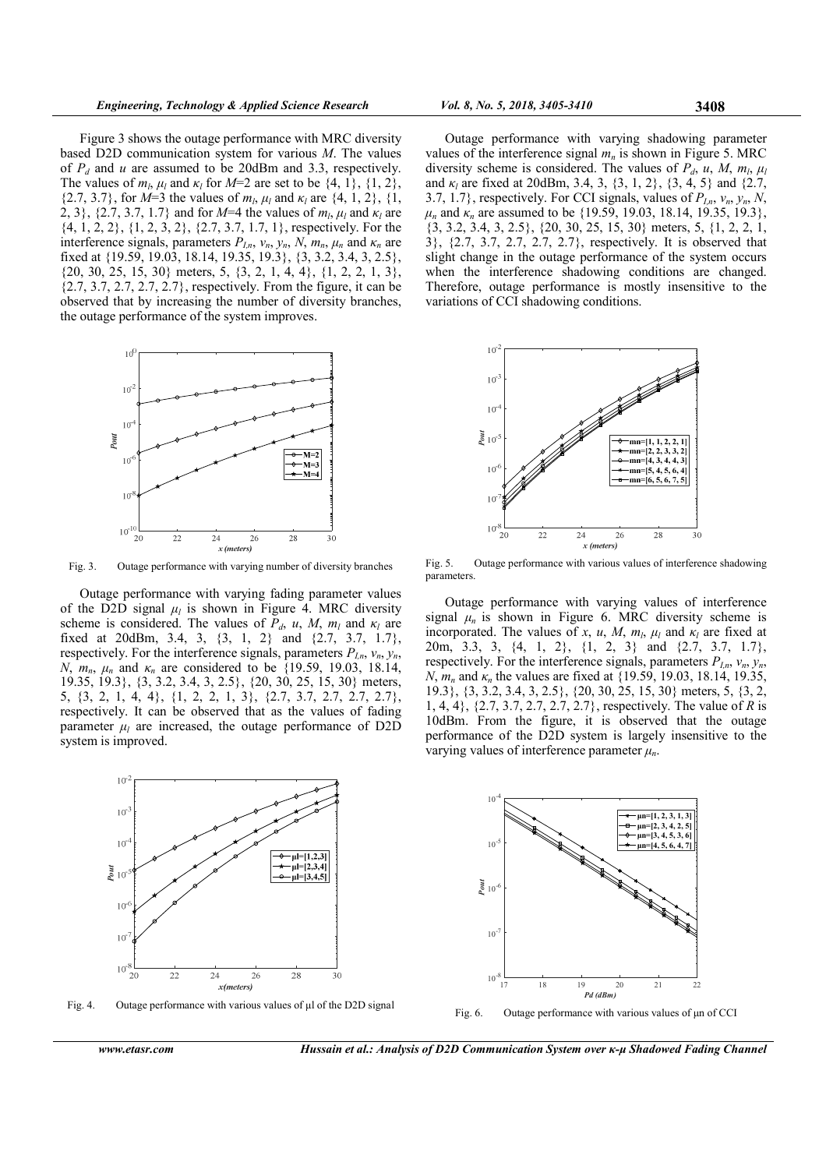Figure 3 shows the outage performance with MRC diversity based D2D communication system for various M. The values of  $P_d$  and u are assumed to be 20dBm and 3.3, respectively. The values of  $m_l$ ,  $\mu_l$  and  $\kappa_l$  for  $M=2$  are set to be  $\{4, 1\}$ ,  $\{1, 2\}$ , {2.7, 3.7}, for  $M=3$  the values of  $m_l$ ,  $\mu_l$  and  $\kappa_l$  are {4, 1, 2}, {1, 2, 3}, {2.7, 3.7, 1.7} and for  $M=4$  the values of  $m_l$ ,  $\mu_l$  and  $\kappa_l$  are {4, 1, 2, 2}, {1, 2, 3, 2}, {2.7, 3.7, 1.7, 1}, respectively. For the interference signals, parameters  $P_{I,n}$ ,  $v_n$ ,  $y_n$ ,  $N$ ,  $m_n$ ,  $\mu_n$  and  $\kappa_n$  are fixed at {19.59, 19.03, 18.14, 19.35, 19.3}, {3, 3.2, 3.4, 3, 2.5}, {20, 30, 25, 15, 30} meters, 5, {3, 2, 1, 4, 4}, {1, 2, 2, 1, 3}, {2.7, 3.7, 2.7, 2.7, 2.7}, respectively. From the figure, it can be observed that by increasing the number of diversity branches, the outage performance of the system improves.



Fig. 3. Outage performance with varying number of diversity branches

Outage performance with varying fading parameter values of the D2D signal  $\mu_l$  is shown in Figure 4. MRC diversity scheme is considered. The values of  $P_d$ , u, M,  $m_l$  and  $\kappa_l$  are fixed at 20dBm, 3.4, 3, {3, 1, 2} and {2.7, 3.7, 1.7}, respectively. For the interference signals, parameters  $P_{Ln}$ ,  $v_n$ ,  $y_n$ , N,  $m_n$ ,  $\mu_n$  and  $\kappa_n$  are considered to be {19.59, 19.03, 18.14, 19.35, 19.3}, {3, 3.2, 3.4, 3, 2.5}, {20, 30, 25, 15, 30} meters, 5, {3, 2, 1, 4, 4}, {1, 2, 2, 1, 3}, {2.7, 3.7, 2.7, 2.7, 2.7}, respectively. It can be observed that as the values of fading parameter  $\mu_l$  are increased, the outage performance of D2D system is improved.



Fig. 4. Outage performance with various values of  $\mu$ l of the D2D signal

Outage performance with varying shadowing parameter values of the interference signal  $m_n$  is shown in Figure 5. MRC diversity scheme is considered. The values of  $P_d$ , u, M,  $m_l$ ,  $\mu_l$ and  $\kappa_l$  are fixed at 20dBm, 3.4, 3, {3, 1, 2}, {3, 4, 5} and {2.7, 3.7, 1.7}, respectively. For CCI signals, values of  $P_{In}, v_n, y_n, N$ ,  $\mu_n$  and  $\kappa_n$  are assumed to be {19.59, 19.03, 18.14, 19.35, 19.3}, {3, 3.2, 3.4, 3, 2.5}, {20, 30, 25, 15, 30} meters, 5, {1, 2, 2, 1, 3}, {2.7, 3.7, 2.7, 2.7, 2.7}, respectively. It is observed that slight change in the outage performance of the system occurs when the interference shadowing conditions are changed. Therefore, outage performance is mostly insensitive to the variations of CCI shadowing conditions.



Fig. 5. Outage performance with various values of interference shadowing parameters.

Outage performance with varying values of interference signal  $\mu_n$  is shown in Figure 6. MRC diversity scheme is incorporated. The values of x, u, M,  $m_l$ ,  $\mu_l$  and  $\kappa_l$  are fixed at 20m, 3.3, 3, {4, 1, 2}, {1, 2, 3} and {2.7, 3.7, 1.7}, respectively. For the interference signals, parameters  $P_{I,n}$ ,  $v_n$ ,  $y_n$ , N,  $m_n$  and  $\kappa_n$  the values are fixed at {19.59, 19.03, 18.14, 19.35, 19.3}, {3, 3.2, 3.4, 3, 2.5}, {20, 30, 25, 15, 30} meters, 5, {3, 2, 1, 4, 4}, {2.7, 3.7, 2.7, 2.7, 2.7}, respectively. The value of R is 10dBm. From the figure, it is observed that the outage performance of the D2D system is largely insensitive to the varying values of interference parameter  $\mu_n$ .



www.etasr.com Hussain et al.: Analysis of D2D Communication System over κ-µ Shadowed Fading Channel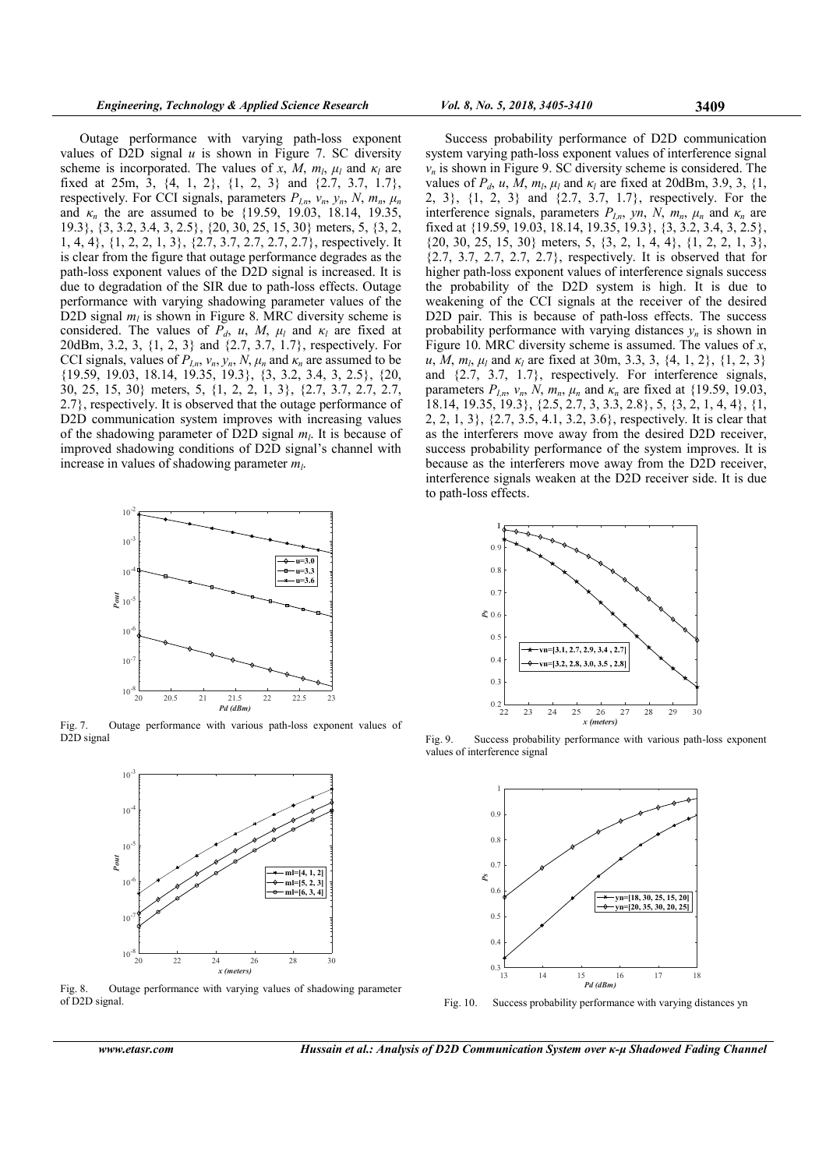Outage performance with varying path-loss exponent values of D2D signal  $u$  is shown in Figure 7. SC diversity scheme is incorporated. The values of x, M,  $m_l$ ,  $\mu_l$  and  $\kappa_l$  are fixed at 25m, 3, {4, 1, 2}, {1, 2, 3} and {2.7, 3.7, 1.7}, respectively. For CCI signals, parameters  $P_{In}$ ,  $v_n$ ,  $y_n$ ,  $N$ ,  $m_n$ ,  $\mu_n$ and  $\kappa_n$  the are assumed to be {19.59, 19.03, 18.14, 19.35, 19.3}, {3, 3.2, 3.4, 3, 2.5}, {20, 30, 25, 15, 30} meters, 5, {3, 2, 1, 4, 4}, {1, 2, 2, 1, 3}, {2.7, 3.7, 2.7, 2.7, 2.7}, respectively. It is clear from the figure that outage performance degrades as the path-loss exponent values of the D2D signal is increased. It is due to degradation of the SIR due to path-loss effects. Outage performance with varying shadowing parameter values of the D2D signal  $m_l$  is shown in Figure 8. MRC diversity scheme is considered. The values of  $P_d$ , u, M,  $\mu_l$  and  $\kappa_l$  are fixed at 20dBm, 3.2, 3, {1, 2, 3} and {2.7, 3.7, 1.7}, respectively. For CCI signals, values of  $P_{I,n}$ ,  $v_n$ ,  $y_n$ ,  $N$ ,  $\mu_n$  and  $\kappa_n$  are assumed to be {19.59, 19.03, 18.14, 19.35, 19.3}, {3, 3.2, 3.4, 3, 2.5}, {20, 30, 25, 15, 30} meters, 5, {1, 2, 2, 1, 3}, {2.7, 3.7, 2.7, 2.7, 2.7}, respectively. It is observed that the outage performance of D<sub>2</sub>D communication system improves with increasing values of the shadowing parameter of D2D signal  $m_l$ . It is because of improved shadowing conditions of D2D signal's channel with increase in values of shadowing parameter  $m_l$ .



Fig. 7. Outage performance with various path-loss exponent values of D2D signal



Fig. 8. Outage performance with varying values of shadowing parameter of D2D signal.

Success probability performance of D2D communication system varying path-loss exponent values of interference signal  $v_n$  is shown in Figure 9. SC diversity scheme is considered. The values of  $P_d$ , u, M,  $m_l$ ,  $\mu_l$  and  $\kappa_l$  are fixed at 20dBm, 3.9, 3, {1, 2, 3}, {1, 2, 3} and {2.7, 3.7, 1.7}, respectively. For the interference signals, parameters  $P_{I,n}$ , yn, N,  $m_n$ ,  $\mu_n$  and  $\kappa_n$  are fixed at {19.59, 19.03, 18.14, 19.35, 19.3}, {3, 3.2, 3.4, 3, 2.5}, {20, 30, 25, 15, 30} meters, 5, {3, 2, 1, 4, 4}, {1, 2, 2, 1, 3}, {2.7, 3.7, 2.7, 2.7, 2.7}, respectively. It is observed that for higher path-loss exponent values of interference signals success the probability of the D2D system is high. It is due to weakening of the CCI signals at the receiver of the desired D2D pair. This is because of path-loss effects. The success probability performance with varying distances  $v_n$  is shown in Figure 10. MRC diversity scheme is assumed. The values of  $x$ , u, M,  $m_l$ ,  $\mu_l$  and  $\kappa_l$  are fixed at 30m, 3.3, 3,  $\{4, 1, 2\}$ ,  $\{1, 2, 3\}$ and {2.7, 3.7, 1.7}, respectively. For interference signals, parameters  $P_{I,n}$ ,  $v_n$ ,  $N$ ,  $m_n$ ,  $\mu_n$  and  $\kappa_n$  are fixed at {19.59, 19.03, 18.14, 19.35, 19.3}, {2.5, 2.7, 3, 3.3, 2.8}, 5, {3, 2, 1, 4, 4}, {1, 2, 2, 1, 3}, {2.7, 3.5, 4.1, 3.2, 3.6}, respectively. It is clear that as the interferers move away from the desired D2D receiver, success probability performance of the system improves. It is because as the interferers move away from the D2D receiver, interference signals weaken at the D2D receiver side. It is due to path-loss effects.



Fig. 9. Success probability performance with various path-loss exponent values of interference signal



Fig. 10. Success probability performance with varying distances yn